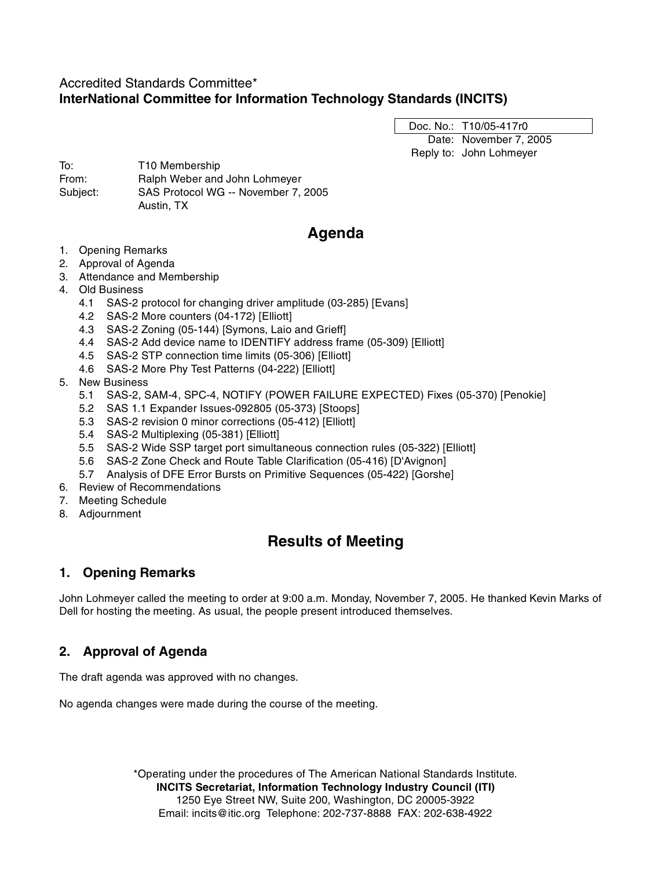## Accredited Standards Committee\* **InterNational Committee for Information Technology Standards (INCITS)**

Doc. No.: T10/05-417r0

Date: November 7, 2005 Reply to: John Lohmeyer

To: T10 Membership From: Ralph Weber and John Lohmeyer Subject: SAS Protocol WG -- November 7, 2005 Austin, TX

# **Agenda**

- 1. Opening Remarks
- 2. Approval of Agenda
- 3. Attendance and Membership
- 4. Old Business
	- 4.1 SAS-2 protocol for changing driver amplitude (03-285) [Evans]
	- 4.2 SAS-2 More counters (04-172) [Elliott]
	- 4.3 SAS-2 Zoning (05-144) [Symons, Laio and Grieff]
	- 4.4 SAS-2 Add device name to IDENTIFY address frame (05-309) [Elliott]
	- 4.5 SAS-2 STP connection time limits (05-306) [Elliott]
	- 4.6 SAS-2 More Phy Test Patterns (04-222) [Elliott]
- 5. New Business
	- 5.1 SAS-2, SAM-4, SPC-4, NOTIFY (POWER FAILURE EXPECTED) Fixes (05-370) [Penokie]
	- 5.2 SAS 1.1 Expander Issues-092805 (05-373) [Stoops]
	- 5.3 SAS-2 revision 0 minor corrections (05-412) [Elliott]
	- 5.4 SAS-2 Multiplexing (05-381) [Elliott]
	- 5.5 SAS-2 Wide SSP target port simultaneous connection rules (05-322) [Elliott]
	- 5.6 SAS-2 Zone Check and Route Table Clarification (05-416) [D'Avignon]
	- 5.7 Analysis of DFE Error Bursts on Primitive Sequences (05-422) [Gorshe]
- 6. Review of Recommendations
- 7. Meeting Schedule
- 8. Adjournment

# **Results of Meeting**

## **1. Opening Remarks**

John Lohmeyer called the meeting to order at 9:00 a.m. Monday, November 7, 2005. He thanked Kevin Marks of Dell for hosting the meeting. As usual, the people present introduced themselves.

## **2. Approval of Agenda**

The draft agenda was approved with no changes.

No agenda changes were made during the course of the meeting.

\*Operating under the procedures of The American National Standards Institute. **INCITS Secretariat, Information Technology Industry Council (ITI)** 1250 Eye Street NW, Suite 200, Washington, DC 20005-3922 Email: incits@itic.org Telephone: 202-737-8888 FAX: 202-638-4922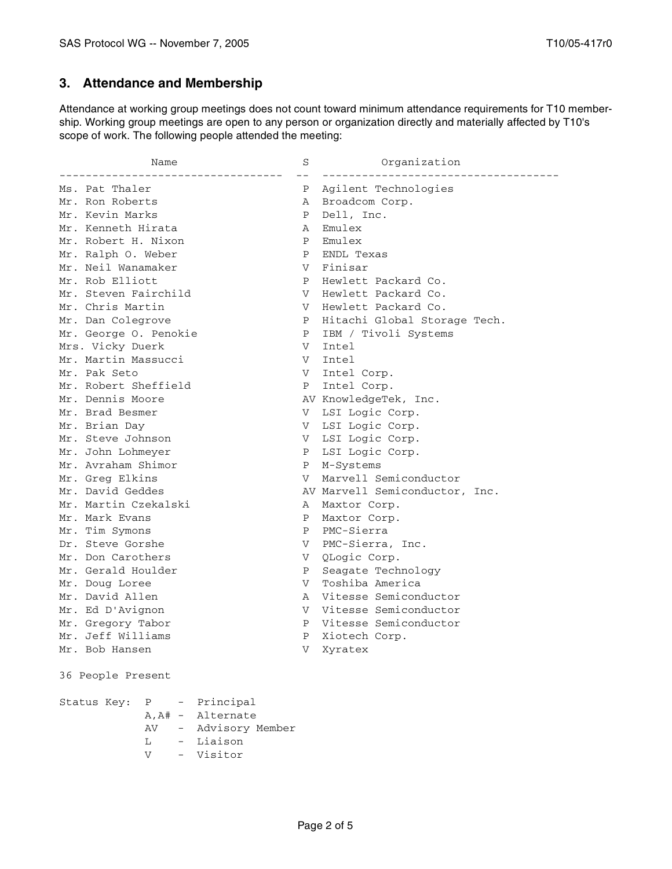## **3. Attendance and Membership**

Attendance at working group meetings does not count toward minimum attendance requirements for T10 membership. Working group meetings are open to any person or organization directly and materially affected by T10's scope of work. The following people attended the meeting:

| Name                  |    | S                 | Organization                   |                              |
|-----------------------|----|-------------------|--------------------------------|------------------------------|
| Ms. Pat Thaler        |    | Ρ                 | Agilent Technologies           |                              |
| Mr. Ron Roberts       |    |                   | А                              | Broadcom Corp.               |
| Mr. Kevin Marks       |    | Ρ                 | Dell, Inc.                     |                              |
| Mr. Kenneth Hirata    |    | А                 | Emulex                         |                              |
| Mr. Robert H. Nixon   |    |                   | Ρ                              | Emulex                       |
| Mr. Ralph O. Weber    |    | Ρ                 | ENDL Texas                     |                              |
| Mr. Neil Wanamaker    |    |                   | V                              | Finisar                      |
| Mr. Rob Elliott       |    |                   | Ρ                              | Hewlett Packard Co.          |
| Mr. Steven Fairchild  |    |                   | V                              | Hewlett Packard Co.          |
| Mr. Chris Martin      |    |                   | V                              | Hewlett Packard Co.          |
| Mr. Dan Colegrove     |    |                   | Ρ                              | Hitachi Global Storage Tech. |
| Mr. George O. Penokie |    |                   | Ρ                              | IBM / Tivoli Systems         |
| Mrs. Vicky Duerk      |    |                   | V                              | Intel                        |
| Mr. Martin Massucci   |    |                   | V                              | Intel                        |
| Mr. Pak Seto          |    |                   | V                              | Intel Corp.                  |
| Mr. Robert Sheffield  |    |                   | Ρ                              | Intel Corp.                  |
| Mr. Dennis Moore      |    |                   |                                | AV KnowledgeTek, Inc.        |
| Mr. Brad Besmer       |    | V                 | LSI Logic Corp.                |                              |
| Mr. Brian Day         |    | V –               | LSI Logic Corp.                |                              |
| Mr. Steve Johnson     |    | V.                | LSI Logic Corp.                |                              |
| Mr. John Lohmeyer     |    | Ρ                 | LSI Logic Corp.                |                              |
| Mr. Avraham Shimor    |    | Ρ                 | M-Systems                      |                              |
| Mr. Greg Elkins       |    | V                 | Marvell Semiconductor          |                              |
| Mr. David Geddes      |    |                   | AV Marvell Semiconductor, Inc. |                              |
| Mr. Martin Czekalski  |    |                   | А                              | Maxtor Corp.                 |
| Mr. Mark Evans        |    |                   | Ρ                              | Maxtor Corp.                 |
| Mr. Tim Symons        |    | Ρ                 | PMC-Sierra                     |                              |
| Dr. Steve Gorshe      |    | V                 | PMC-Sierra, Inc.               |                              |
| Mr. Don Carothers     |    |                   | V                              | QLogic Corp.                 |
| Mr. Gerald Houlder    |    |                   | Ρ                              | Seagate Technology           |
| Mr. Doug Loree        |    |                   | V                              | Toshiba America              |
| Mr. David Allen       |    |                   | Α                              | Vitesse Semiconductor        |
| Mr. Ed D'Avignon      |    | V                 | Vitesse Semiconductor          |                              |
| Mr. Gregory Tabor     |    | Ρ                 | Vitesse Semiconductor          |                              |
| Mr. Jeff Williams     |    |                   | Ρ                              | Xiotech Corp.                |
| Mr. Bob Hansen        |    | V                 | Xyratex                        |                              |
| 36 People Present     |    |                   |                                |                              |
| Status Key:           |    | P - Principal     |                                |                              |
|                       |    | A, A# - Alternate |                                |                              |
|                       | AV | - Advisory Member |                                |                              |
|                       | L  | Liaison           |                                |                              |

V - Visitor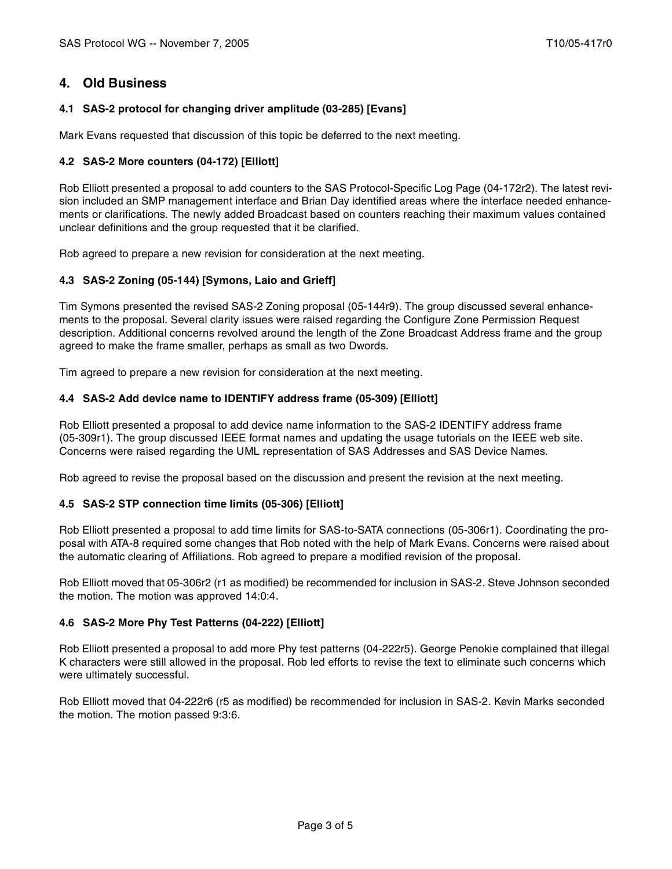## **4. Old Business**

## **4.1 SAS-2 protocol for changing driver amplitude (03-285) [Evans]**

Mark Evans requested that discussion of this topic be deferred to the next meeting.

## **4.2 SAS-2 More counters (04-172) [Elliott]**

Rob Elliott presented a proposal to add counters to the SAS Protocol-Specific Log Page (04-172r2). The latest revision included an SMP management interface and Brian Day identified areas where the interface needed enhancements or clarifications. The newly added Broadcast based on counters reaching their maximum values contained unclear definitions and the group requested that it be clarified.

Rob agreed to prepare a new revision for consideration at the next meeting.

### **4.3 SAS-2 Zoning (05-144) [Symons, Laio and Grieff]**

Tim Symons presented the revised SAS-2 Zoning proposal (05-144r9). The group discussed several enhancements to the proposal. Several clarity issues were raised regarding the Configure Zone Permission Request description. Additional concerns revolved around the length of the Zone Broadcast Address frame and the group agreed to make the frame smaller, perhaps as small as two Dwords.

Tim agreed to prepare a new revision for consideration at the next meeting.

### **4.4 SAS-2 Add device name to IDENTIFY address frame (05-309) [Elliott]**

Rob Elliott presented a proposal to add device name information to the SAS-2 IDENTIFY address frame (05-309r1). The group discussed IEEE format names and updating the usage tutorials on the IEEE web site. Concerns were raised regarding the UML representation of SAS Addresses and SAS Device Names.

Rob agreed to revise the proposal based on the discussion and present the revision at the next meeting.

### **4.5 SAS-2 STP connection time limits (05-306) [Elliott]**

Rob Elliott presented a proposal to add time limits for SAS-to-SATA connections (05-306r1). Coordinating the proposal with ATA-8 required some changes that Rob noted with the help of Mark Evans. Concerns were raised about the automatic clearing of Affiliations. Rob agreed to prepare a modified revision of the proposal.

Rob Elliott moved that 05-306r2 (r1 as modified) be recommended for inclusion in SAS-2. Steve Johnson seconded the motion. The motion was approved 14:0:4.

### **4.6 SAS-2 More Phy Test Patterns (04-222) [Elliott]**

Rob Elliott presented a proposal to add more Phy test patterns (04-222r5). George Penokie complained that illegal K characters were still allowed in the proposal. Rob led efforts to revise the text to eliminate such concerns which were ultimately successful.

Rob Elliott moved that 04-222r6 (r5 as modified) be recommended for inclusion in SAS-2. Kevin Marks seconded the motion. The motion passed 9:3:6.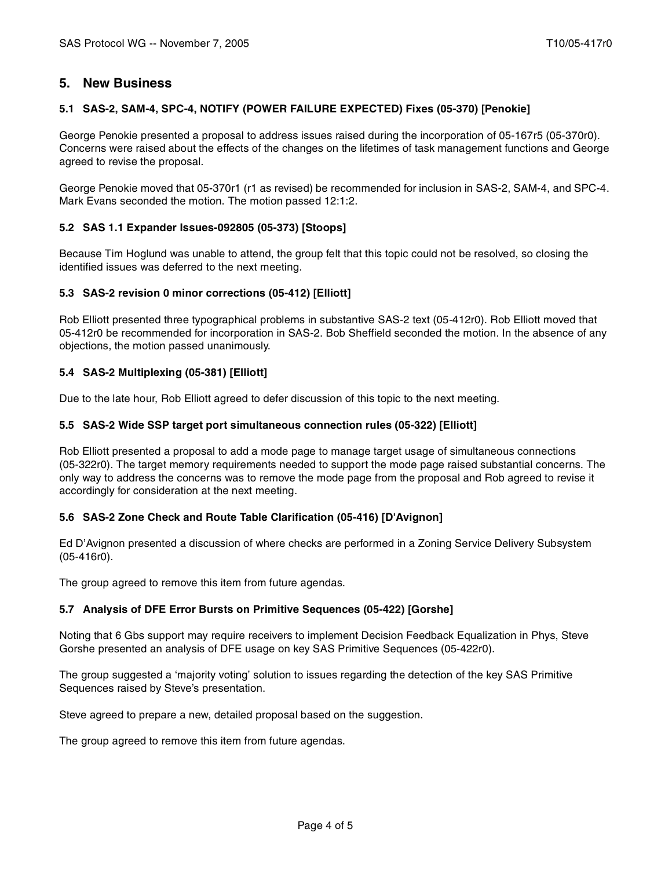## **5. New Business**

## **5.1 SAS-2, SAM-4, SPC-4, NOTIFY (POWER FAILURE EXPECTED) Fixes (05-370) [Penokie]**

George Penokie presented a proposal to address issues raised during the incorporation of 05-167r5 (05-370r0). Concerns were raised about the effects of the changes on the lifetimes of task management functions and George agreed to revise the proposal.

George Penokie moved that 05-370r1 (r1 as revised) be recommended for inclusion in SAS-2, SAM-4, and SPC-4. Mark Evans seconded the motion. The motion passed 12:1:2.

## **5.2 SAS 1.1 Expander Issues-092805 (05-373) [Stoops]**

Because Tim Hoglund was unable to attend, the group felt that this topic could not be resolved, so closing the identified issues was deferred to the next meeting.

### **5.3 SAS-2 revision 0 minor corrections (05-412) [Elliott]**

Rob Elliott presented three typographical problems in substantive SAS-2 text (05-412r0). Rob Elliott moved that 05-412r0 be recommended for incorporation in SAS-2. Bob Sheffield seconded the motion. In the absence of any objections, the motion passed unanimously.

## **5.4 SAS-2 Multiplexing (05-381) [Elliott]**

Due to the late hour, Rob Elliott agreed to defer discussion of this topic to the next meeting.

### **5.5 SAS-2 Wide SSP target port simultaneous connection rules (05-322) [Elliott]**

Rob Elliott presented a proposal to add a mode page to manage target usage of simultaneous connections (05-322r0). The target memory requirements needed to support the mode page raised substantial concerns. The only way to address the concerns was to remove the mode page from the proposal and Rob agreed to revise it accordingly for consideration at the next meeting.

### **5.6 SAS-2 Zone Check and Route Table Clarification (05-416) [D'Avignon]**

Ed D'Avignon presented a discussion of where checks are performed in a Zoning Service Delivery Subsystem (05-416r0).

The group agreed to remove this item from future agendas.

### **5.7 Analysis of DFE Error Bursts on Primitive Sequences (05-422) [Gorshe]**

Noting that 6 Gbs support may require receivers to implement Decision Feedback Equalization in Phys, Steve Gorshe presented an analysis of DFE usage on key SAS Primitive Sequences (05-422r0).

The group suggested a 'majority voting' solution to issues regarding the detection of the key SAS Primitive Sequences raised by Steve's presentation.

Steve agreed to prepare a new, detailed proposal based on the suggestion.

The group agreed to remove this item from future agendas.